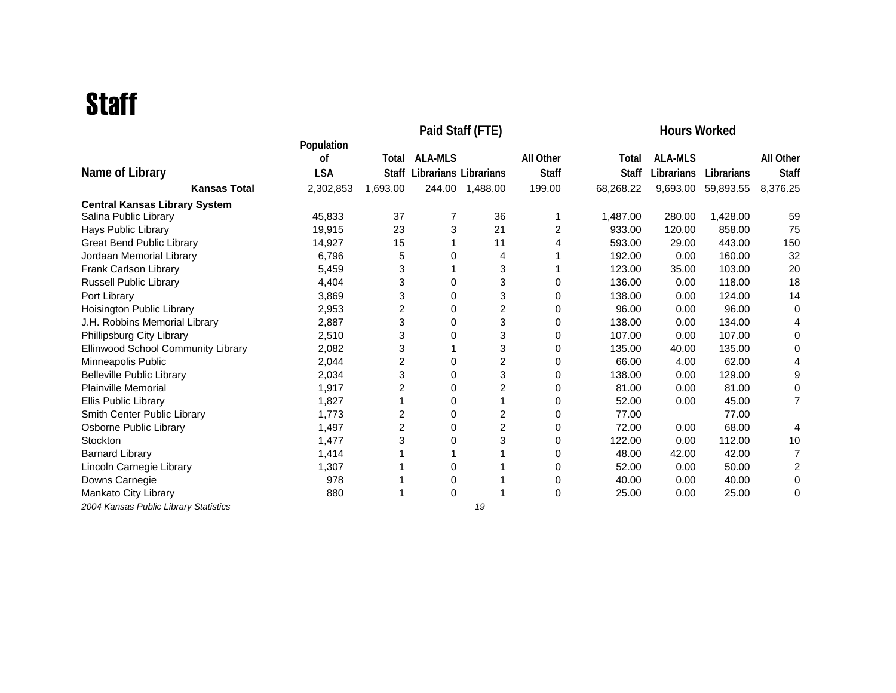## **Staff**

|                                       |            | <b>Hours Worked</b> |                       |                 |                |              |                |            |                |
|---------------------------------------|------------|---------------------|-----------------------|-----------------|----------------|--------------|----------------|------------|----------------|
|                                       | Population |                     |                       |                 |                |              |                |            |                |
|                                       | 0f         | Total               | <b>ALA-MLS</b>        |                 | All Other      | Total        | <b>ALA-MLS</b> |            | All Other      |
| Name of Library                       | <b>LSA</b> | Staff               | Librarians Librarians |                 | <b>Staff</b>   | <b>Staff</b> | Librarians     | Librarians | <b>Staff</b>   |
| <b>Kansas Total</b>                   | 2,302,853  | 1,693.00            |                       | 244.00 1,488.00 | 199.00         | 68,268.22    | 9,693.00       | 59,893.55  | 8,376.25       |
| <b>Central Kansas Library System</b>  |            |                     |                       |                 |                |              |                |            |                |
| Salina Public Library                 | 45,833     | 37                  | 7                     | 36              | 1              | 1,487.00     | 280.00         | 1,428.00   | 59             |
| <b>Hays Public Library</b>            | 19,915     | 23                  | 3                     | 21              | $\overline{c}$ | 933.00       | 120.00         | 858.00     | 75             |
| <b>Great Bend Public Library</b>      | 14,927     | 15                  |                       | 11              | 4              | 593.00       | 29.00          | 443.00     | 150            |
| Jordaan Memorial Library              | 6,796      | 5                   | 0                     | 4               |                | 192.00       | 0.00           | 160.00     | 32             |
| Frank Carlson Library                 | 5,459      | 3                   |                       | 3               |                | 123.00       | 35.00          | 103.00     | 20             |
| Russell Public Library                | 4,404      | 3                   | 0                     | 3               | 0              | 136.00       | 0.00           | 118.00     | 18             |
| Port Library                          | 3,869      | 3                   | 0                     | 3               | 0              | 138.00       | 0.00           | 124.00     | 14             |
| Hoisington Public Library             | 2,953      | 2                   | 0                     | $\overline{2}$  | 0              | 96.00        | 0.00           | 96.00      | 0              |
| J.H. Robbins Memorial Library         | 2,887      | 3                   | 0                     | 3               | 0              | 138.00       | 0.00           | 134.00     | 4              |
| Phillipsburg City Library             | 2,510      | 3                   | 0                     | 3               | 0              | 107.00       | 0.00           | 107.00     | 0              |
| Ellinwood School Community Library    | 2,082      | 3                   |                       | 3               | 0              | 135.00       | 40.00          | 135.00     | 0              |
| Minneapolis Public                    | 2,044      | $\overline{c}$      | 0                     | 2               | 0              | 66.00        | 4.00           | 62.00      | 4              |
| <b>Belleville Public Library</b>      | 2,034      | 3                   | 0                     | 3               | 0              | 138.00       | 0.00           | 129.00     | 9              |
| <b>Plainville Memorial</b>            | 1,917      | $\overline{c}$      | 0                     | 2               | 0              | 81.00        | 0.00           | 81.00      | 0              |
| Ellis Public Library                  | 1,827      |                     | 0                     |                 | 0              | 52.00        | 0.00           | 45.00      | $\overline{7}$ |
| Smith Center Public Library           | 1,773      | $\overline{c}$      | 0                     | 2               | 0              | 77.00        |                | 77.00      |                |
| Osborne Public Library                | 1,497      | $\overline{2}$      | 0                     | 2               | 0              | 72.00        | 0.00           | 68.00      | 4              |
| Stockton                              | 1,477      | 3                   | 0                     | 3               | 0              | 122.00       | 0.00           | 112.00     | 10             |
| <b>Barnard Library</b>                | 1,414      |                     |                       |                 | 0              | 48.00        | 42.00          | 42.00      | 7              |
| Lincoln Carnegie Library              | 1,307      |                     | 0                     |                 | 0              | 52.00        | 0.00           | 50.00      | $\overline{c}$ |
| Downs Carnegie                        | 978        |                     | 0                     |                 | 0              | 40.00        | 0.00           | 40.00      | 0              |
| Mankato City Library                  | 880        |                     | $\mathbf 0$           |                 | 0              | 25.00        | 0.00           | 25.00      | 0              |
| 2004 Kansas Public Library Statistics |            |                     |                       | 19              |                |              |                |            |                |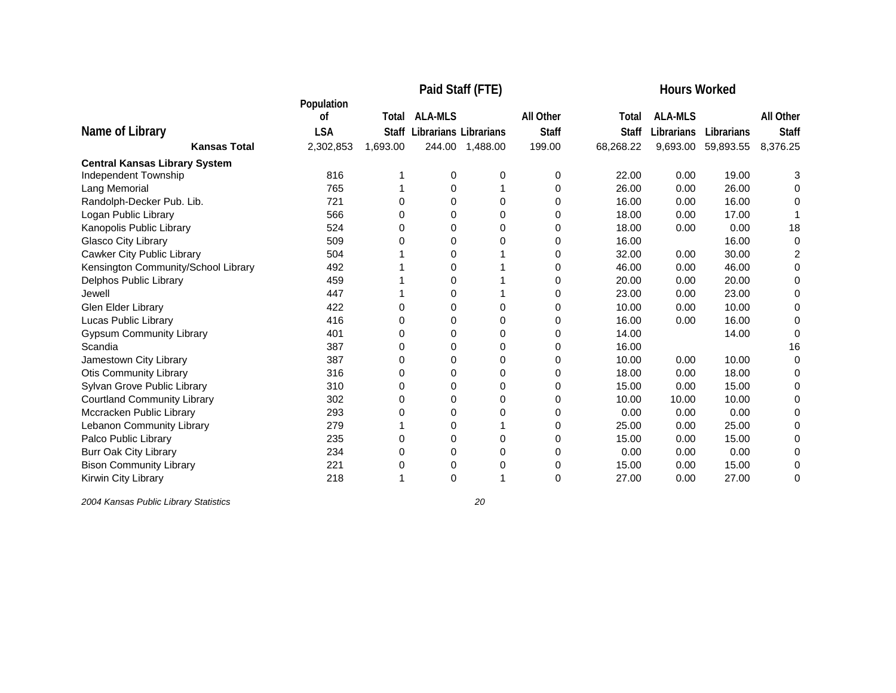|                                      |            | <b>Hours Worked</b> |                       |          |              |              |                |            |              |
|--------------------------------------|------------|---------------------|-----------------------|----------|--------------|--------------|----------------|------------|--------------|
|                                      | Population |                     |                       |          |              |              |                |            |              |
|                                      | οf         | Total               | <b>ALA-MLS</b>        |          | All Other    | Total        | <b>ALA-MLS</b> |            | All Other    |
| Name of Library                      | <b>LSA</b> | Staff               | Librarians Librarians |          | <b>Staff</b> | <b>Staff</b> | Librarians     | Librarians | <b>Staff</b> |
| <b>Kansas Total</b>                  | 2,302,853  | 1,693.00            | 244.00                | 1,488.00 | 199.00       | 68,268.22    | 9,693.00       | 59,893.55  | 8,376.25     |
| <b>Central Kansas Library System</b> |            |                     |                       |          |              |              |                |            |              |
| Independent Township                 | 816        |                     | 0                     | 0        | 0            | 22.00        | 0.00           | 19.00      | 3            |
| Lang Memorial                        | 765        |                     | 0                     |          | 0            | 26.00        | 0.00           | 26.00      | 0            |
| Randolph-Decker Pub. Lib.            | 721        | 0                   | 0                     | 0        | 0            | 16.00        | 0.00           | 16.00      | 0            |
| Logan Public Library                 | 566        | 0                   | 0                     | 0        | 0            | 18.00        | 0.00           | 17.00      |              |
| Kanopolis Public Library             | 524        | 0                   | 0                     | $\Omega$ | 0            | 18.00        | 0.00           | 0.00       | 18           |
| Glasco City Library                  | 509        | በ                   | 0                     | 0        | 0            | 16.00        |                | 16.00      | 0            |
| <b>Cawker City Public Library</b>    | 504        |                     | 0                     |          | 0            | 32.00        | 0.00           | 30.00      | 2            |
| Kensington Community/School Library  | 492        |                     | 0                     |          | 0            | 46.00        | 0.00           | 46.00      | 0            |
| Delphos Public Library               | 459        |                     | 0                     |          | 0            | 20.00        | 0.00           | 20.00      | 0            |
| Jewell                               | 447        |                     | 0                     |          | 0            | 23.00        | 0.00           | 23.00      | 0            |
| Glen Elder Library                   | 422        | 0                   | 0                     | 0        | 0            | 10.00        | 0.00           | 10.00      | 0            |
| Lucas Public Library                 | 416        | 0                   | 0                     | $\Omega$ | 0            | 16.00        | 0.00           | 16.00      | 0            |
| <b>Gypsum Community Library</b>      | 401        | 0                   | 0                     | 0        | 0            | 14.00        |                | 14.00      | 0            |
| Scandia                              | 387        | $\Omega$            | 0                     | $\Omega$ | 0            | 16.00        |                |            | 16           |
| Jamestown City Library               | 387        | 0                   | 0                     | $\Omega$ | 0            | 10.00        | 0.00           | 10.00      | 0            |
| <b>Otis Community Library</b>        | 316        | 0                   | $\Omega$              | $\Omega$ | 0            | 18.00        | 0.00           | 18.00      | 0            |
| Sylvan Grove Public Library          | 310        | 0                   | 0                     | 0        | 0            | 15.00        | 0.00           | 15.00      | 0            |
| <b>Courtland Community Library</b>   | 302        | 0                   | 0                     | 0        | 0            | 10.00        | 10.00          | 10.00      | 0            |
| Mccracken Public Library             | 293        | 0                   | 0                     | 0        | 0            | 0.00         | 0.00           | 0.00       | 0            |
| Lebanon Community Library            | 279        |                     | 0                     |          | 0            | 25.00        | 0.00           | 25.00      |              |
| Palco Public Library                 | 235        | 0                   | $\Omega$              | $\Omega$ | 0            | 15.00        | 0.00           | 15.00      | 0            |
| <b>Burr Oak City Library</b>         | 234        | 0                   | 0                     | 0        | 0            | 0.00         | 0.00           | 0.00       | 0            |
| <b>Bison Community Library</b>       | 221        | 0                   | 0                     | 0        | 0            | 15.00        | 0.00           | 15.00      | 0            |
| Kirwin City Library                  | 218        |                     | 0                     |          | 0            | 27.00        | 0.00           | 27.00      | 0            |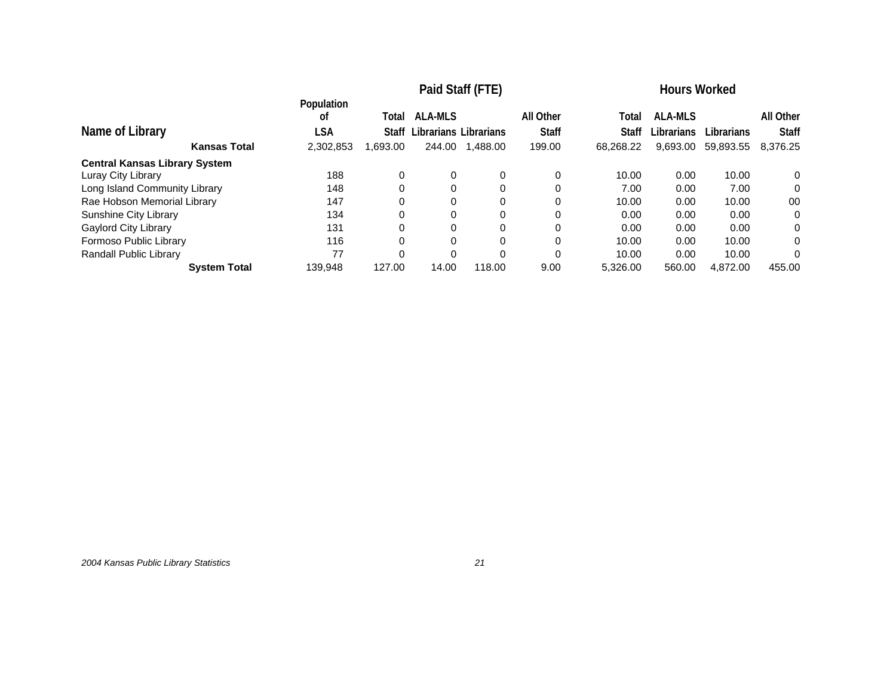|                                      | Paid Staff (FTE) |          |                       |          |              | <b>Hours Worked</b> |                |                   |              |
|--------------------------------------|------------------|----------|-----------------------|----------|--------------|---------------------|----------------|-------------------|--------------|
|                                      | Population<br>οf | Total    | <b>ALA-MLS</b>        |          | All Other    | Total               | <b>ALA-MLS</b> |                   | All Other    |
| Name of Library                      | LSA              | Staff    | Librarians Librarians |          | <b>Staff</b> | <b>Staff</b>        | Librarians     | <b>Librarians</b> | <b>Staff</b> |
| <b>Kansas Total</b>                  | 2,302,853        | 1,693.00 | 244.00                | 1.488.00 | 199.00       | 68.268.22           | 9,693.00       | 59,893.55         | 8.376.25     |
| <b>Central Kansas Library System</b> |                  |          |                       |          |              |                     |                |                   |              |
| Luray City Library                   | 188              | 0        | 0                     | 0        | 0            | 10.00               | 0.00           | 10.00             | 0            |
| Long Island Community Library        | 148              | 0        | $\Omega$              | $\Omega$ | 0            | 7.00                | 0.00           | 7.00              | 0            |
| Rae Hobson Memorial Library          | 147              | 0        | 0                     | $\Omega$ | 0            | 10.00               | 0.00           | 10.00             | 00           |
| Sunshine City Library                | 134              |          | 0                     | 0        |              | 0.00                | 0.00           | 0.00              | 0            |
| <b>Gaylord City Library</b>          | 131              | $\Omega$ | $\Omega$              | $\Omega$ | 0            | 0.00                | 0.00           | 0.00              | 0            |
| Formoso Public Library               | 116              |          | 0                     | 0        |              | 10.00               | 0.00           | 10.00             | 0            |
| Randall Public Library               | 77               |          | $\Omega$              | $\Omega$ | 0            | 10.00               | 0.00           | 10.00             | 0            |
| <b>System Total</b>                  | 139.948          | 127.00   | 14.00                 | 118.00   | 9.00         | 5.326.00            | 560.00         | 4.872.00          | 455.00       |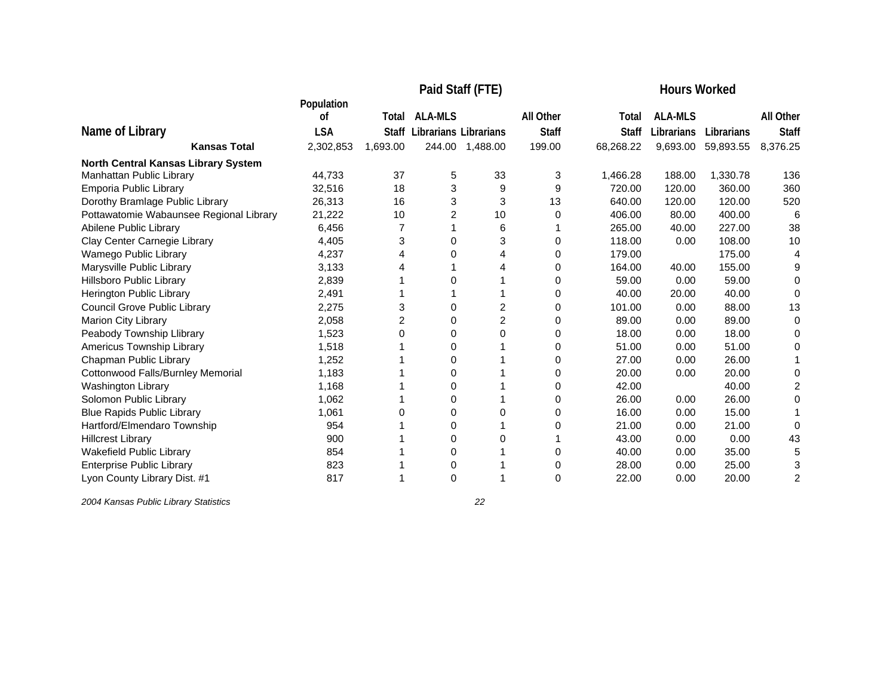|                                                                 |                  | <b>Hours Worked</b> |                       |                 |              |              |                |            |                  |
|-----------------------------------------------------------------|------------------|---------------------|-----------------------|-----------------|--------------|--------------|----------------|------------|------------------|
|                                                                 | Population<br>οf | Total               | <b>ALA-MLS</b>        |                 | All Other    | Total        | <b>ALA-MLS</b> |            | <b>All Other</b> |
| Name of Library                                                 | <b>LSA</b>       | <b>Staff</b>        | Librarians Librarians |                 | <b>Staff</b> | <b>Staff</b> | Librarians     | Librarians | <b>Staff</b>     |
| <b>Kansas Total</b>                                             | 2,302,853        | 1,693.00            |                       | 244.00 1,488.00 | 199.00       | 68,268.22    | 9,693.00       | 59,893.55  | 8,376.25         |
|                                                                 |                  |                     |                       |                 |              |              |                |            |                  |
| North Central Kansas Library System<br>Manhattan Public Library | 44.733           | 37                  | 5                     | 33              | 3            | 1,466.28     | 188.00         | 1,330.78   | 136              |
| Emporia Public Library                                          | 32,516           | 18                  | 3                     | 9               | 9            | 720.00       | 120.00         | 360.00     | 360              |
| Dorothy Bramlage Public Library                                 | 26,313           | 16                  | 3                     | 3               | 13           | 640.00       | 120.00         | 120.00     | 520              |
| Pottawatomie Wabaunsee Regional Library                         | 21,222           | 10                  | $\overline{2}$        | 10              | 0            | 406.00       | 80.00          | 400.00     | 6                |
| Abilene Public Library                                          | 6.456            |                     |                       | 6               |              | 265.00       | 40.00          | 227.00     | 38               |
| Clay Center Carnegie Library                                    | 4.405            | 3                   | 0                     | 3               | 0            | 118.00       | 0.00           | 108.00     | 10               |
| Wamego Public Library                                           | 4,237            | 4                   | 0                     | 4               | 0            | 179.00       |                | 175.00     | 4                |
| Marysville Public Library                                       | 3,133            | 4                   |                       | 4               | 0            | 164.00       | 40.00          | 155.00     | 9                |
| Hillsboro Public Library                                        | 2,839            |                     | 0                     |                 | 0            | 59.00        | 0.00           | 59.00      | $\Omega$         |
| Herington Public Library                                        | 2,491            |                     |                       |                 | 0            | 40.00        | 20.00          | 40.00      | $\Omega$         |
| Council Grove Public Library                                    | 2,275            | 3                   | 0                     | 2               | 0            | 101.00       | 0.00           | 88.00      | 13               |
| Marion City Library                                             | 2,058            | $\overline{2}$      | 0                     | $\overline{2}$  | 0            | 89.00        | 0.00           | 89.00      | 0                |
| Peabody Township Llibrary                                       | 1,523            | 0                   | 0                     | 0               | 0            | 18.00        | 0.00           | 18.00      | $\Omega$         |
| Americus Township Library                                       | 1,518            |                     | 0                     |                 | 0            | 51.00        | 0.00           | 51.00      | 0                |
| Chapman Public Library                                          | 1,252            |                     | 0                     |                 | 0            | 27.00        | 0.00           | 26.00      |                  |
| Cottonwood Falls/Burnley Memorial                               | 1,183            |                     | 0                     |                 | 0            | 20.00        | 0.00           | 20.00      | 0                |
| Washington Library                                              | 1,168            |                     | 0                     |                 | 0            | 42.00        |                | 40.00      | 2                |
| Solomon Public Library                                          | 1,062            |                     | 0                     |                 | 0            | 26.00        | 0.00           | 26.00      | 0                |
| <b>Blue Rapids Public Library</b>                               | 1,061            | 0                   | 0                     | 0               | 0            | 16.00        | 0.00           | 15.00      |                  |
| Hartford/Elmendaro Township                                     | 954              |                     | 0                     |                 | 0            | 21.00        | 0.00           | 21.00      | 0                |
| <b>Hillcrest Library</b>                                        | 900              |                     | 0                     | 0               |              | 43.00        | 0.00           | 0.00       | 43               |
| Wakefield Public Library                                        | 854              |                     | 0                     |                 | 0            | 40.00        | 0.00           | 35.00      | 5                |
| <b>Enterprise Public Library</b>                                | 823              |                     | 0                     |                 | 0            | 28.00        | 0.00           | 25.00      | 3                |
| Lyon County Library Dist. #1                                    | 817              |                     | 0                     |                 | $\Omega$     | 22.00        | 0.00           | 20.00      | $\overline{2}$   |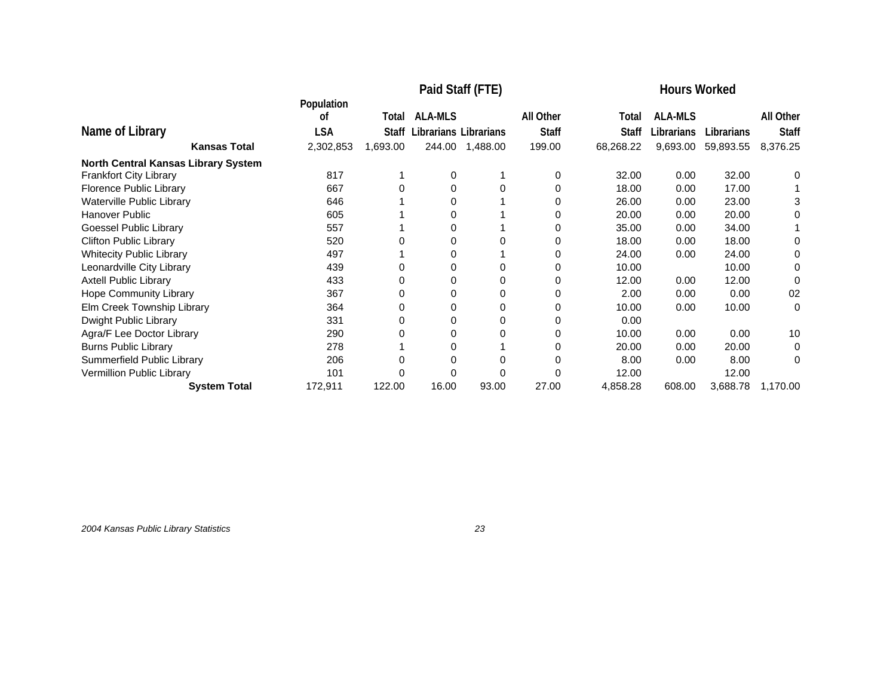|                                            |                  |              | Paid Staff (FTE)      |          | <b>Hours Worked</b> |              |                |            |              |
|--------------------------------------------|------------------|--------------|-----------------------|----------|---------------------|--------------|----------------|------------|--------------|
|                                            | Population<br>οf | Total        | <b>ALA-MLS</b>        |          | All Other           | Total        | <b>ALA-MLS</b> |            | All Other    |
|                                            |                  |              |                       |          |                     |              |                |            |              |
| Name of Library                            | <b>LSA</b>       | <b>Staff</b> | Librarians Librarians |          | <b>Staff</b>        | <b>Staff</b> | Librarians     | Librarians | <b>Staff</b> |
| <b>Kansas Total</b>                        | 2,302,853        | 1,693.00     | 244.00                | 1,488.00 | 199.00              | 68,268.22    | 9,693.00       | 59,893.55  | 8,376.25     |
| <b>North Central Kansas Library System</b> |                  |              |                       |          |                     |              |                |            |              |
| Frankfort City Library                     | 817              |              | 0                     |          | 0                   | 32.00        | 0.00           | 32.00      | 0            |
| Florence Public Library                    | 667              | 0            | 0                     | 0        | 0                   | 18.00        | 0.00           | 17.00      |              |
| Waterville Public Library                  | 646              |              | 0                     |          |                     | 26.00        | 0.00           | 23.00      | 3            |
| <b>Hanover Public</b>                      | 605              |              | 0                     |          |                     | 20.00        | 0.00           | 20.00      | 0            |
| Goessel Public Library                     | 557              |              | 0                     |          |                     | 35.00        | 0.00           | 34.00      |              |
| <b>Clifton Public Library</b>              | 520              |              | $\Omega$              |          |                     | 18.00        | 0.00           | 18.00      | 0            |
| <b>Whitecity Public Library</b>            | 497              |              | 0                     |          | 0                   | 24.00        | 0.00           | 24.00      | 0            |
| Leonardville City Library                  | 439              |              | 0                     |          |                     | 10.00        |                | 10.00      | 0            |
| <b>Axtell Public Library</b>               | 433              |              | 0                     |          |                     | 12.00        | 0.00           | 12.00      | 0            |
| Hope Community Library                     | 367              |              | 0                     |          |                     | 2.00         | 0.00           | 0.00       | 02           |
| Elm Creek Township Library                 | 364              |              | 0                     | 0        |                     | 10.00        | 0.00           | 10.00      | 0            |
| Dwight Public Library                      | 331              |              | 0                     | 0        | 0                   | 0.00         |                |            |              |
| Agra/F Lee Doctor Library                  | 290              |              | 0                     |          |                     | 10.00        | 0.00           | 0.00       | 10           |
| <b>Burns Public Library</b>                | 278              |              | 0                     |          |                     | 20.00        | 0.00           | 20.00      | 0            |
| Summerfield Public Library                 | 206              |              | 0                     |          |                     | 8.00         | 0.00           | 8.00       | 0            |
| Vermillion Public Library                  | 101              |              |                       |          |                     | 12.00        |                | 12.00      |              |
| <b>System Total</b>                        | 172,911          | 122.00       | 16.00                 | 93.00    | 27.00               | 4,858.28     | 608.00         | 3,688.78   | 1,170.00     |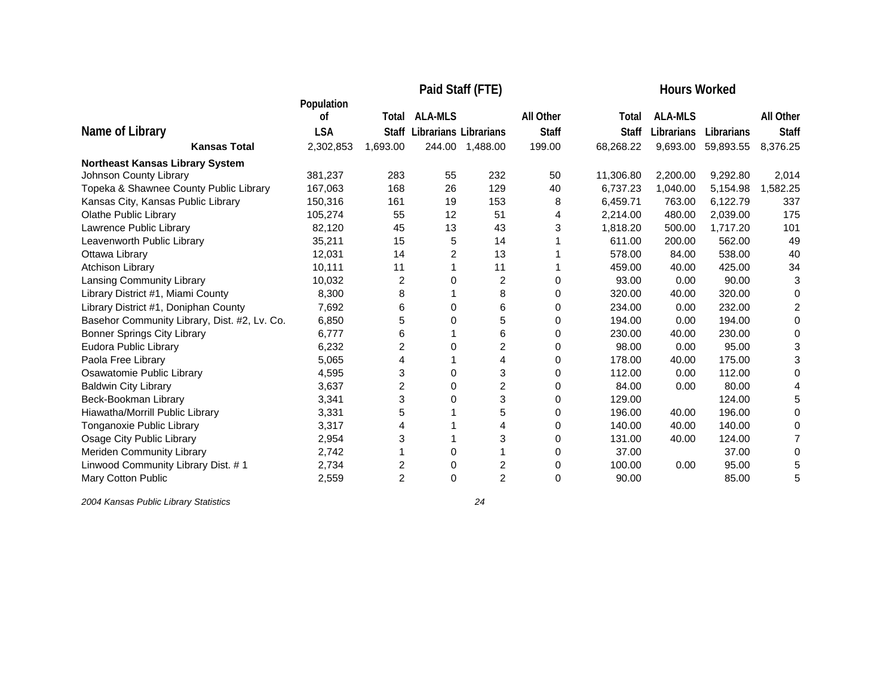|                                              |                  |                | <b>Hours Worked</b>   |                |                  |              |                |            |                |
|----------------------------------------------|------------------|----------------|-----------------------|----------------|------------------|--------------|----------------|------------|----------------|
|                                              | Population<br>οf | Total          | <b>ALA-MLS</b>        |                | <b>All Other</b> | Total        | <b>ALA-MLS</b> |            | All Other      |
| Name of Library                              | <b>LSA</b>       |                |                       |                |                  | <b>Staff</b> | Librarians     | Librarians |                |
|                                              |                  | Staff          | Librarians Librarians |                | <b>Staff</b>     |              |                |            | <b>Staff</b>   |
| <b>Kansas Total</b>                          | 2,302,853        | 1,693.00       | 244.00                | 1,488.00       | 199.00           | 68,268.22    | 9,693.00       | 59,893.55  | 8,376.25       |
| <b>Northeast Kansas Library System</b>       |                  |                |                       |                |                  |              |                |            |                |
| Johnson County Library                       | 381,237          | 283            | 55                    | 232            | 50               | 11,306.80    | 2,200.00       | 9,292.80   | 2,014          |
| Topeka & Shawnee County Public Library       | 167,063          | 168            | 26                    | 129            | 40               | 6,737.23     | 1,040.00       | 5,154.98   | 1,582.25       |
| Kansas City, Kansas Public Library           | 150,316          | 161            | 19                    | 153            | 8                | 6,459.71     | 763.00         | 6,122.79   | 337            |
| <b>Olathe Public Library</b>                 | 105,274          | 55             | 12                    | 51             | 4                | 2,214.00     | 480.00         | 2,039.00   | 175            |
| Lawrence Public Library                      | 82,120           | 45             | 13                    | 43             | 3                | 1,818.20     | 500.00         | 1,717.20   | 101            |
| Leavenworth Public Library                   | 35,211           | 15             | 5                     | 14             |                  | 611.00       | 200.00         | 562.00     | 49             |
| Ottawa Library                               | 12,031           | 14             | 2                     | 13             |                  | 578.00       | 84.00          | 538.00     | 40             |
| Atchison Library                             | 10,111           | 11             |                       | 11             |                  | 459.00       | 40.00          | 425.00     | 34             |
| Lansing Community Library                    | 10,032           | 2              | 0                     | $\overline{2}$ | 0                | 93.00        | 0.00           | 90.00      | 3              |
| Library District #1, Miami County            | 8,300            | 8              |                       | 8              | 0                | 320.00       | 40.00          | 320.00     | 0              |
| Library District #1, Doniphan County         | 7,692            | 6              | 0                     | 6              | 0                | 234.00       | 0.00           | 232.00     | $\overline{2}$ |
| Basehor Community Library, Dist. #2, Lv. Co. | 6,850            | 5              | 0                     | 5              | 0                | 194.00       | 0.00           | 194.00     | 0              |
| <b>Bonner Springs City Library</b>           | 6.777            | 6              |                       | 6              | $\Omega$         | 230.00       | 40.00          | 230.00     | $\Omega$       |
| Eudora Public Library                        | 6,232            | 2              | 0                     | 2              | 0                | 98.00        | 0.00           | 95.00      | 3              |
| Paola Free Library                           | 5,065            | 4              |                       | 4              | 0                | 178.00       | 40.00          | 175.00     | 3              |
| Osawatomie Public Library                    | 4,595            | 3              | 0                     | 3              | 0                | 112.00       | 0.00           | 112.00     | $\Omega$       |
| <b>Baldwin City Library</b>                  | 3,637            | 2              | 0                     | 2              | 0                | 84.00        | 0.00           | 80.00      |                |
| Beck-Bookman Library                         | 3,341            | 3              | 0                     | 3              | 0                | 129.00       |                | 124.00     | 5              |
| Hiawatha/Morrill Public Library              | 3,331            | 5              |                       | 5              | 0                | 196.00       | 40.00          | 196.00     | 0              |
| Tonganoxie Public Library                    | 3,317            | 4              |                       | 4              | 0                | 140.00       | 40.00          | 140.00     | 0              |
| Osage City Public Library                    | 2,954            | 3              |                       | 3              | 0                | 131.00       | 40.00          | 124.00     | 7              |
| Meriden Community Library                    | 2,742            |                | $\Omega$              |                | 0                | 37.00        |                | 37.00      | $\Omega$       |
| Linwood Community Library Dist. #1           | 2,734            | 2              | 0                     | 2              | 0                | 100.00       | 0.00           | 95.00      | 5              |
| Mary Cotton Public                           | 2,559            | $\overline{2}$ | $\Omega$              | $\overline{2}$ | $\Omega$         | 90.00        |                | 85.00      | 5              |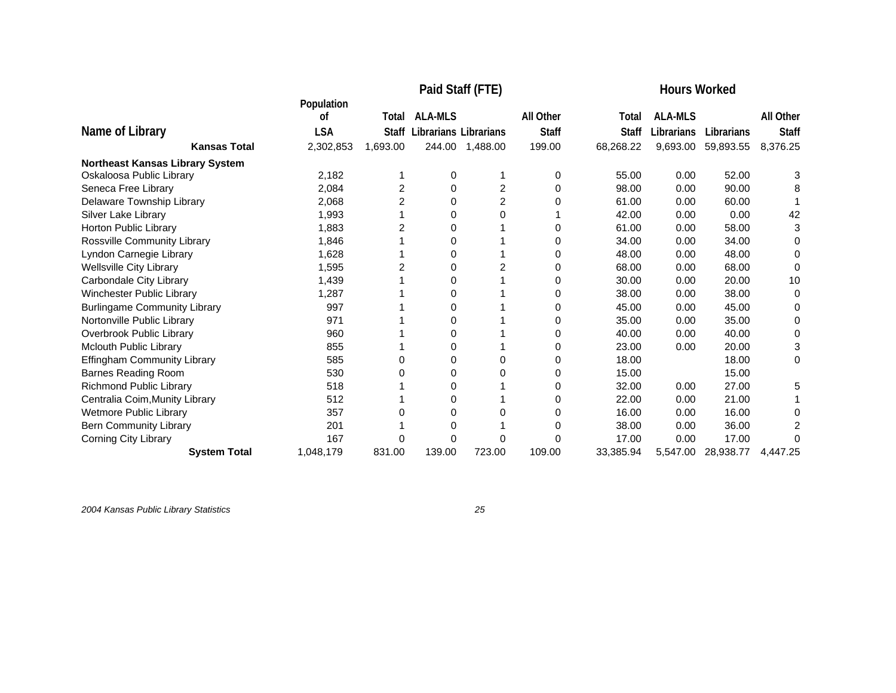|                                     |                  |                |                              | Paid Staff (FTE) | <b>Hours Worked</b> |              |                |            |              |
|-------------------------------------|------------------|----------------|------------------------------|------------------|---------------------|--------------|----------------|------------|--------------|
|                                     | Population<br>οf | Total          | <b>ALA-MLS</b>               |                  | All Other           | Total        | <b>ALA-MLS</b> |            | All Other    |
| Name of Library                     | <b>LSA</b>       | Staff          | <b>Librarians Librarians</b> |                  | <b>Staff</b>        | <b>Staff</b> | Librarians     | Librarians | <b>Staff</b> |
| <b>Kansas Total</b>                 | 2,302,853        | 1,693.00       | 244.00                       | 1,488.00         | 199.00              | 68,268.22    | 9,693.00       | 59,893.55  | 8,376.25     |
| Northeast Kansas Library System     |                  |                |                              |                  |                     |              |                |            |              |
| Oskaloosa Public Library            | 2,182            |                | 0                            |                  | 0                   | 55.00        | 0.00           | 52.00      | 3            |
| Seneca Free Library                 | 2,084            | $\overline{c}$ | 0                            | 2                | 0                   | 98.00        | 0.00           | 90.00      | 8            |
| Delaware Township Library           | 2,068            | 2              | 0                            | 2                | <sup>0</sup>        | 61.00        | 0.00           | 60.00      |              |
| Silver Lake Library                 | 1,993            |                | 0                            | 0                |                     | 42.00        | 0.00           | 0.00       | 42           |
| Horton Public Library               | 1,883            | $\overline{2}$ | 0                            |                  | 0                   | 61.00        | 0.00           | 58.00      | 3            |
| Rossville Community Library         | 1,846            |                | 0                            |                  | 0                   | 34.00        | 0.00           | 34.00      | 0            |
| Lyndon Carnegie Library             | 1,628            |                | 0                            |                  | 0                   | 48.00        | 0.00           | 48.00      | 0            |
| <b>Wellsville City Library</b>      | 1,595            |                | 0                            |                  | 0                   | 68.00        | 0.00           | 68.00      | 0            |
| Carbondale City Library             | 1,439            |                | 0                            |                  | 0                   | 30.00        | 0.00           | 20.00      | 10           |
| Winchester Public Library           | 1,287            |                | 0                            |                  | 0                   | 38.00        | 0.00           | 38.00      | 0            |
| <b>Burlingame Community Library</b> | 997              |                | U                            |                  | 0                   | 45.00        | 0.00           | 45.00      | 0            |
| Nortonville Public Library          | 971              |                | 0                            |                  | 0                   | 35.00        | 0.00           | 35.00      | 0            |
| Overbrook Public Library            | 960              |                | 0                            |                  | 0                   | 40.00        | 0.00           | 40.00      | 0            |
| Mclouth Public Library              | 855              |                | 0                            |                  | 0                   | 23.00        | 0.00           | 20.00      | 3            |
| Effingham Community Library         | 585              | 0              | 0                            | 0                | 0                   | 18.00        |                | 18.00      | 0            |
| <b>Barnes Reading Room</b>          | 530              | 0              | 0                            |                  | 0                   | 15.00        |                | 15.00      |              |
| Richmond Public Library             | 518              |                | 0                            |                  | 0                   | 32.00        | 0.00           | 27.00      | 5            |
| Centralia Coim, Munity Library      | 512              |                | 0                            |                  | 0                   | 22.00        | 0.00           | 21.00      |              |
| <b>Wetmore Public Library</b>       | 357              | 0              | 0                            |                  | 0                   | 16.00        | 0.00           | 16.00      | 0            |
| <b>Bern Community Library</b>       | 201              |                | 0                            |                  |                     | 38.00        | 0.00           | 36.00      |              |
| <b>Corning City Library</b>         | 167              | 0              | 0                            | 0                | 0                   | 17.00        | 0.00           | 17.00      | 0            |
| <b>System Total</b>                 | 1,048,179        | 831.00         | 139.00                       | 723.00           | 109.00              | 33,385.94    | 5,547.00       | 28,938.77  | 4,447.25     |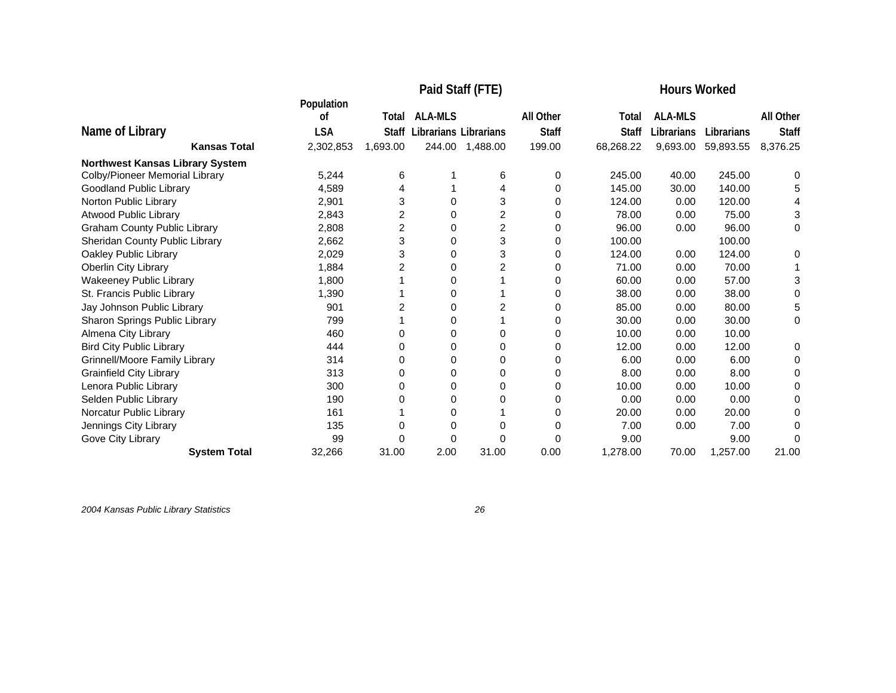|                                        |                  | <b>Hours Worked</b> |                              |          |              |              |                |            |              |
|----------------------------------------|------------------|---------------------|------------------------------|----------|--------------|--------------|----------------|------------|--------------|
|                                        | Population<br>οf | Total               | <b>ALA-MLS</b>               |          | All Other    | Total        | <b>ALA-MLS</b> |            | All Other    |
| Name of Library                        | <b>LSA</b>       | Staff               | <b>Librarians Librarians</b> |          | <b>Staff</b> | <b>Staff</b> | Librarians     | Librarians | <b>Staff</b> |
| <b>Kansas Total</b>                    | 2,302,853        | 1,693.00            | 244.00                       | 1,488.00 | 199.00       | 68,268.22    | 9,693.00       | 59,893.55  | 8,376.25     |
| <b>Northwest Kansas Library System</b> |                  |                     |                              |          |              |              |                |            |              |
| Colby/Pioneer Memorial Library         | 5.244            | 6                   |                              | 6        | 0            | 245.00       | 40.00          | 245.00     | 0            |
| <b>Goodland Public Library</b>         | 4,589            | 4                   |                              |          | 0            | 145.00       | 30.00          | 140.00     | 5            |
| Norton Public Library                  | 2,901            | 3                   | 0                            | 3        | 0            | 124.00       | 0.00           | 120.00     | 4            |
| <b>Atwood Public Library</b>           | 2,843            | 2                   | 0                            | 2        | 0            | 78.00        | 0.00           | 75.00      | 3            |
| <b>Graham County Public Library</b>    | 2,808            | 2                   | 0                            | 2        | 0            | 96.00        | 0.00           | 96.00      | 0            |
| Sheridan County Public Library         | 2,662            | 3                   | 0                            | 3        | 0            | 100.00       |                | 100.00     |              |
| Oakley Public Library                  | 2,029            | 3                   | 0                            | 3        | 0            | 124.00       | 0.00           | 124.00     | 0            |
| <b>Oberlin City Library</b>            | 1,884            | 2                   | 0                            |          | 0            | 71.00        | 0.00           | 70.00      |              |
| <b>Wakeeney Public Library</b>         | 1,800            |                     | 0                            |          | 0            | 60.00        | 0.00           | 57.00      | 3            |
| St. Francis Public Library             | 1,390            |                     | 0                            |          | 0            | 38.00        | 0.00           | 38.00      | 0            |
| Jay Johnson Public Library             | 901              | 2                   | 0                            |          | 0            | 85.00        | 0.00           | 80.00      | 5            |
| Sharon Springs Public Library          | 799              |                     | 0                            |          | 0            | 30.00        | 0.00           | 30.00      | 0            |
| Almena City Library                    | 460              | 0                   | 0                            | 0        | 0            | 10.00        | 0.00           | 10.00      |              |
| <b>Bird City Public Library</b>        | 444              | 0                   | 0                            | 0        | 0            | 12.00        | 0.00           | 12.00      | 0            |
| <b>Grinnell/Moore Family Library</b>   | 314              | 0                   | 0                            | 0        | 0            | 6.00         | 0.00           | 6.00       | 0            |
| <b>Grainfield City Library</b>         | 313              | 0                   | 0                            | 0        | 0            | 8.00         | 0.00           | 8.00       | 0            |
| Lenora Public Library                  | 300              | 0                   | 0                            | 0        | 0            | 10.00        | 0.00           | 10.00      | 0            |
| Selden Public Library                  | 190              | 0                   | 0                            | 0        | 0            | 0.00         | 0.00           | 0.00       |              |
| Norcatur Public Library                | 161              |                     | 0                            |          | 0            | 20.00        | 0.00           | 20.00      | O            |
| Jennings City Library                  | 135              | 0                   | 0                            | O        | 0            | 7.00         | 0.00           | 7.00       | U            |
| Gove City Library                      | 99               | 0                   | 0                            | 0        | 0            | 9.00         |                | 9.00       | O            |
| <b>System Total</b>                    | 32,266           | 31.00               | 2.00                         | 31.00    | 0.00         | 1,278.00     | 70.00          | 1,257.00   | 21.00        |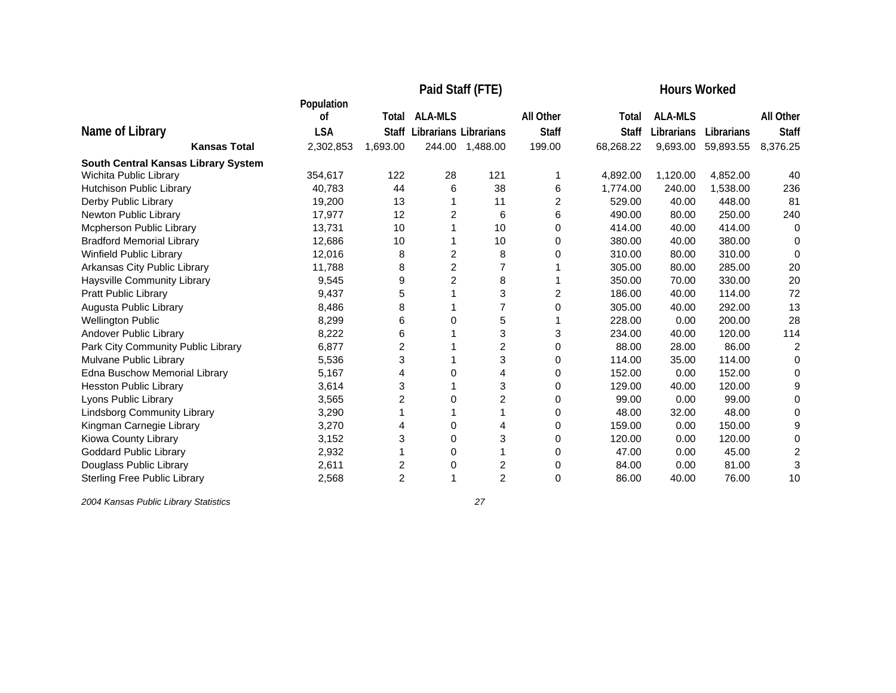|                                     |                  |                | Paid Staff (FTE)      | <b>Hours Worked</b> |              |              |                |            |              |
|-------------------------------------|------------------|----------------|-----------------------|---------------------|--------------|--------------|----------------|------------|--------------|
|                                     | Population<br>οf | Total          | <b>ALA-MLS</b>        |                     | All Other    | Total        | <b>ALA-MLS</b> |            | All Other    |
| Name of Library                     | <b>LSA</b>       | <b>Staff</b>   | Librarians Librarians |                     | <b>Staff</b> | <b>Staff</b> | Librarians     | Librarians | <b>Staff</b> |
| <b>Kansas Total</b>                 | 2,302,853        | 1,693.00       |                       | 244.00 1,488.00     | 199.00       | 68,268.22    | 9,693.00       | 59,893.55  | 8,376.25     |
| South Central Kansas Library System |                  |                |                       |                     |              |              |                |            |              |
| Wichita Public Library              | 354,617          | 122            | 28                    | 121                 |              | 4.892.00     | 1,120.00       | 4,852.00   | 40           |
| Hutchison Public Library            | 40,783           | 44             | 6                     | 38                  | 6            | 1,774.00     | 240.00         | 1,538.00   | 236          |
| Derby Public Library                | 19,200           | 13             |                       | 11                  | 2            | 529.00       | 40.00          | 448.00     | 81           |
| Newton Public Library               | 17,977           | 12             | $\overline{2}$        | 6                   | 6            | 490.00       | 80.00          | 250.00     | 240          |
| Mcpherson Public Library            | 13,731           | 10             |                       | 10                  | 0            | 414.00       | 40.00          | 414.00     | 0            |
| <b>Bradford Memorial Library</b>    | 12,686           | 10             |                       | 10                  | 0            | 380.00       | 40.00          | 380.00     | 0            |
| Winfield Public Library             | 12,016           | 8              | $\overline{2}$        | 8                   | 0            | 310.00       | 80.00          | 310.00     | 0            |
| Arkansas City Public Library        | 11,788           | 8              | $\overline{c}$        |                     |              | 305.00       | 80.00          | 285.00     | 20           |
| Haysville Community Library         | 9,545            | 9              | $\overline{c}$        | 8                   |              | 350.00       | 70.00          | 330.00     | 20           |
| <b>Pratt Public Library</b>         | 9,437            | 5              |                       | 3                   | 2            | 186.00       | 40.00          | 114.00     | 72           |
| Augusta Public Library              | 8,486            | 8              |                       | $\overline{7}$      | 0            | 305.00       | 40.00          | 292.00     | 13           |
| <b>Wellington Public</b>            | 8,299            | 6              | 0                     | 5                   |              | 228.00       | 0.00           | 200.00     | 28           |
| Andover Public Library              | 8,222            | 6              |                       | 3                   | 3            | 234.00       | 40.00          | 120.00     | 114          |
| Park City Community Public Library  | 6,877            | 2              |                       | $\overline{2}$      | $\Omega$     | 88.00        | 28.00          | 86.00      | 2            |
| Mulvane Public Library              | 5,536            | 3              |                       | 3                   | 0            | 114.00       | 35.00          | 114.00     | 0            |
| Edna Buschow Memorial Library       | 5,167            | 4              | 0                     | 4                   | 0            | 152.00       | 0.00           | 152.00     | 0            |
| <b>Hesston Public Library</b>       | 3,614            | 3              |                       | 3                   | 0            | 129.00       | 40.00          | 120.00     | 9            |
| Lyons Public Library                | 3,565            | 2              | 0                     | 2                   | 0            | 99.00        | 0.00           | 99.00      | 0            |
| <b>Lindsborg Community Library</b>  | 3,290            |                |                       |                     | 0            | 48.00        | 32.00          | 48.00      | 0            |
| Kingman Carnegie Library            | 3,270            | 4              | 0                     |                     | 0            | 159.00       | 0.00           | 150.00     | 9            |
| Kiowa County Library                | 3,152            | 3              | 0                     | 3                   | 0            | 120.00       | 0.00           | 120.00     | 0            |
| <b>Goddard Public Library</b>       | 2,932            |                | 0                     |                     | 0            | 47.00        | 0.00           | 45.00      | 2            |
| Douglass Public Library             | 2,611            | 2              | 0                     | $\overline{c}$      | 0            | 84.00        | 0.00           | 81.00      | 3            |
| <b>Sterling Free Public Library</b> | 2,568            | $\overline{2}$ | 1                     | $\overline{c}$      | 0            | 86.00        | 40.00          | 76.00      | 10           |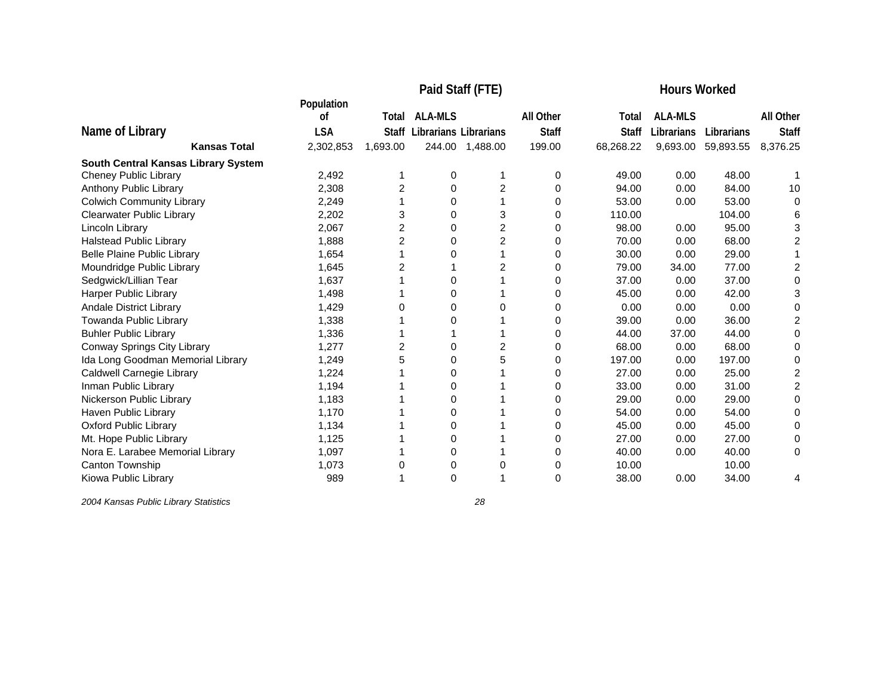|                                     |                  |          | Paid Staff (FTE)             | <b>Hours Worked</b> |              |              |                |            |                |
|-------------------------------------|------------------|----------|------------------------------|---------------------|--------------|--------------|----------------|------------|----------------|
|                                     | Population<br>οf | Total    | <b>ALA-MLS</b>               |                     | All Other    | Total        | <b>ALA-MLS</b> |            | All Other      |
| Name of Library                     | <b>LSA</b>       | Staff    | <b>Librarians Librarians</b> |                     | <b>Staff</b> | <b>Staff</b> | Librarians     | Librarians | <b>Staff</b>   |
| <b>Kansas Total</b>                 | 2,302,853        | 1,693.00 |                              | 244.00 1,488.00     | 199.00       | 68,268.22    | 9,693.00       | 59,893.55  | 8,376.25       |
| South Central Kansas Library System |                  |          |                              |                     |              |              |                |            |                |
| Cheney Public Library               | 2,492            |          | 0                            |                     | 0            | 49.00        | 0.00           | 48.00      |                |
| Anthony Public Library              | 2,308            | 2        | 0                            | 2                   | 0            | 94.00        | 0.00           | 84.00      | 10             |
| <b>Colwich Community Library</b>    | 2,249            |          | 0                            |                     | 0            | 53.00        | 0.00           | 53.00      | 0              |
| Clearwater Public Library           | 2,202            | 3        | 0                            | 3                   | 0            | 110.00       |                | 104.00     | 6              |
| Lincoln Library                     | 2,067            | 2        | 0                            | $\overline{c}$      | $\Omega$     | 98.00        | 0.00           | 95.00      | 3              |
| <b>Halstead Public Library</b>      | 1,888            | 2        | 0                            | 2                   | 0            | 70.00        | 0.00           | 68.00      | $\overline{2}$ |
| <b>Belle Plaine Public Library</b>  | 1,654            |          | 0                            |                     | 0            | 30.00        | 0.00           | 29.00      |                |
| Moundridge Public Library           | 1,645            | 2        |                              | 2                   | 0            | 79.00        | 34.00          | 77.00      | $\overline{2}$ |
| Sedgwick/Lillian Tear               | 1,637            |          | 0                            |                     | 0            | 37.00        | 0.00           | 37.00      | 0              |
| <b>Harper Public Library</b>        | 1,498            |          | 0                            |                     | 0            | 45.00        | 0.00           | 42.00      | 3              |
| Andale District Library             | 1,429            | 0        | 0                            | 0                   | 0            | 0.00         | 0.00           | 0.00       | 0              |
| Towanda Public Library              | 1,338            |          | 0                            |                     | 0            | 39.00        | 0.00           | 36.00      | 2              |
| <b>Buhler Public Library</b>        | 1,336            |          |                              |                     | 0            | 44.00        | 37.00          | 44.00      | 0              |
| Conway Springs City Library         | 1,277            | 2        | 0                            | 2                   | 0            | 68.00        | 0.00           | 68.00      | 0              |
| Ida Long Goodman Memorial Library   | 1,249            | 5        | $\Omega$                     | 5                   | 0            | 197.00       | 0.00           | 197.00     | 0              |
| Caldwell Carnegie Library           | 1,224            |          | 0                            |                     | 0            | 27.00        | 0.00           | 25.00      | 2              |
| Inman Public Library                | 1,194            |          | 0                            |                     | 0            | 33.00        | 0.00           | 31.00      | 2              |
| Nickerson Public Library            | 1,183            |          | 0                            |                     | 0            | 29.00        | 0.00           | 29.00      | 0              |
| Haven Public Library                | 1,170            |          | 0                            |                     | 0            | 54.00        | 0.00           | 54.00      | 0              |
| <b>Oxford Public Library</b>        | 1,134            |          | 0                            |                     | 0            | 45.00        | 0.00           | 45.00      | 0              |
| Mt. Hope Public Library             | 1,125            |          | 0                            |                     | 0            | 27.00        | 0.00           | 27.00      | 0              |
| Nora E. Larabee Memorial Library    | 1,097            |          | 0                            |                     | 0            | 40.00        | 0.00           | 40.00      | 0              |
| Canton Township                     | 1,073            | 0        | 0                            | 0                   | 0            | 10.00        |                | 10.00      |                |
| Kiowa Public Library                | 989              |          | 0                            |                     | 0            | 38.00        | 0.00           | 34.00      | 4              |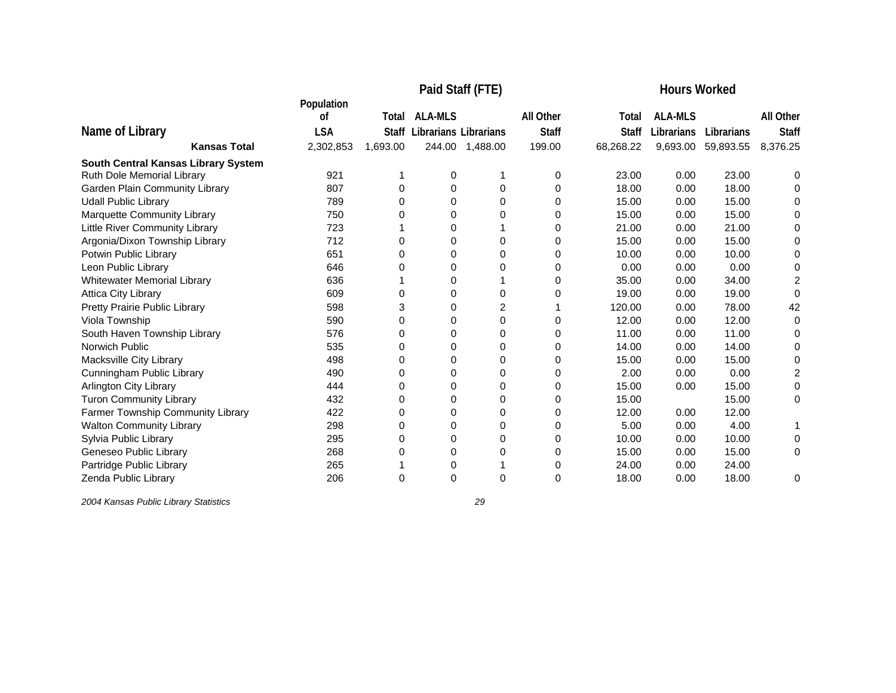|                                     |                  |          | <b>Hours Worked</b>         |          |              |              |                |            |                |
|-------------------------------------|------------------|----------|-----------------------------|----------|--------------|--------------|----------------|------------|----------------|
|                                     | Population<br>οf | Total    | <b>ALA-MLS</b>              |          | All Other    | Total        | <b>ALA-MLS</b> |            | All Other      |
| Name of Library                     | <b>LSA</b>       |          | Staff Librarians Librarians |          | <b>Staff</b> | <b>Staff</b> | Librarians     | Librarians | <b>Staff</b>   |
| <b>Kansas Total</b>                 | 2,302,853        | 1,693.00 | 244.00                      | 1,488.00 | 199.00       | 68,268.22    | 9,693.00       | 59,893.55  | 8,376.25       |
| South Central Kansas Library System |                  |          |                             |          |              |              |                |            |                |
| Ruth Dole Memorial Library          | 921              |          | 0                           |          | 0            | 23.00        | 0.00           | 23.00      | 0              |
| Garden Plain Community Library      | 807              | 0        | 0                           | 0        | 0            | 18.00        | 0.00           | 18.00      | 0              |
| <b>Udall Public Library</b>         | 789              | 0        | 0                           | 0        | 0            | 15.00        | 0.00           | 15.00      | 0              |
| Marquette Community Library         | 750              | 0        | 0                           | 0        | 0            | 15.00        | 0.00           | 15.00      | $\Omega$       |
| Little River Community Library      | 723              |          | 0                           |          | 0            | 21.00        | 0.00           | 21.00      | 0              |
| Argonia/Dixon Township Library      | 712              | 0        | 0                           | 0        | 0            | 15.00        | 0.00           | 15.00      | 0              |
| Potwin Public Library               | 651              | 0        | 0                           | 0        | 0            | 10.00        | 0.00           | 10.00      | 0              |
| Leon Public Library                 | 646              |          | 0                           | 0        | 0            | 0.00         | 0.00           | 0.00       | 0              |
| <b>Whitewater Memorial Library</b>  | 636              |          | 0                           |          | 0            | 35.00        | 0.00           | 34.00      | 2              |
| <b>Attica City Library</b>          | 609              | O        | 0                           | 0        | 0            | 19.00        | 0.00           | 19.00      | 0              |
| Pretty Prairie Public Library       | 598              | 3        | 0                           | 2        |              | 120.00       | 0.00           | 78.00      | 42             |
| Viola Township                      | 590              | 0        | 0                           | 0        | 0            | 12.00        | 0.00           | 12.00      | 0              |
| South Haven Township Library        | 576              | 0        | 0                           | 0        | 0            | 11.00        | 0.00           | 11.00      | 0              |
| Norwich Public                      | 535              | 0        | 0                           | $\Omega$ | 0            | 14.00        | 0.00           | 14.00      | 0              |
| Macksville City Library             | 498              | 0        | 0                           | $\Omega$ | 0            | 15.00        | 0.00           | 15.00      | 0              |
| Cunningham Public Library           | 490              | 0        | $\Omega$                    | 0        | 0            | 2.00         | 0.00           | 0.00       | $\overline{c}$ |
| Arlington City Library              | 444              | 0        | 0                           | 0        | 0            | 15.00        | 0.00           | 15.00      | 0              |
| <b>Turon Community Library</b>      | 432              | 0        | 0                           | 0        | 0            | 15.00        |                | 15.00      | 0              |
| Farmer Township Community Library   | 422              | 0        | 0                           | 0        | 0            | 12.00        | 0.00           | 12.00      |                |
| <b>Walton Community Library</b>     | 298              | 0        | 0                           | 0        | 0            | 5.00         | 0.00           | 4.00       |                |
| Sylvia Public Library               | 295              | 0        | 0                           | 0        | 0            | 10.00        | 0.00           | 10.00      | 0              |
| Geneseo Public Library              | 268              | 0        | 0                           | 0        | 0            | 15.00        | 0.00           | 15.00      | 0              |
| Partridge Public Library            | 265              |          | 0                           |          | 0            | 24.00        | 0.00           | 24.00      |                |
| Zenda Public Library                | 206              | 0        | 0                           | $\Omega$ | 0            | 18.00        | 0.00           | 18.00      | 0              |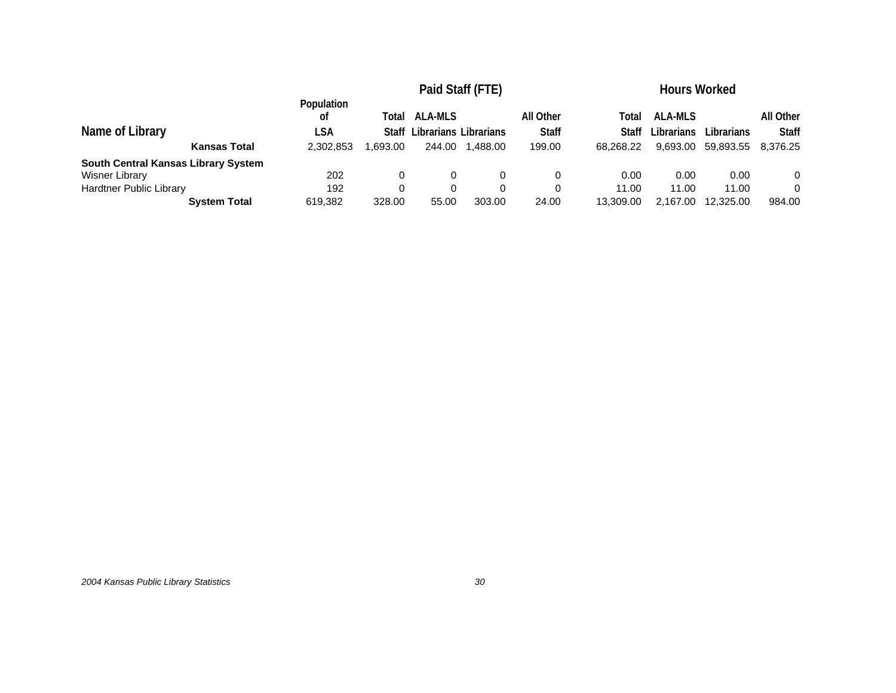|                                        | Paid Staff (FTE)                     |                                   |                                                   |         |                                     | <b>Hours Worked</b>         |                                   |                         |                                       |  |
|----------------------------------------|--------------------------------------|-----------------------------------|---------------------------------------------------|---------|-------------------------------------|-----------------------------|-----------------------------------|-------------------------|---------------------------------------|--|
| Name of Library<br><b>Kansas Total</b> | Population<br>οf<br>LSA<br>2,302,853 | Total<br><b>Staff</b><br>0.693.00 | <b>ALA-MLS</b><br>Librarians Librarians<br>244.00 | .488.00 | All Other<br><b>Staff</b><br>199.00 | Total<br>Staff<br>68.268.22 | ALA-MLS<br>Librarians<br>9.693.00 | Librarians<br>59.893.55 | All Other<br><b>Staff</b><br>8,376.25 |  |
| South Central Kansas Library System    |                                      |                                   |                                                   |         |                                     |                             |                                   |                         |                                       |  |
| Wisner Library                         | 202                                  | 0                                 |                                                   |         | 0                                   | 0.00                        | 0.00                              | 0.00                    | 0                                     |  |
| <b>Hardtner Public Library</b>         | 192                                  | 0                                 |                                                   |         | 0                                   | 11.00                       | 11.00                             | 11.00                   | 0                                     |  |
| <b>System Total</b>                    | 619,382                              | 328.00                            | 55.00                                             | 303.00  | 24.00                               | 13.309.00                   | 2,167.00                          | 12.325.00               | 984.00                                |  |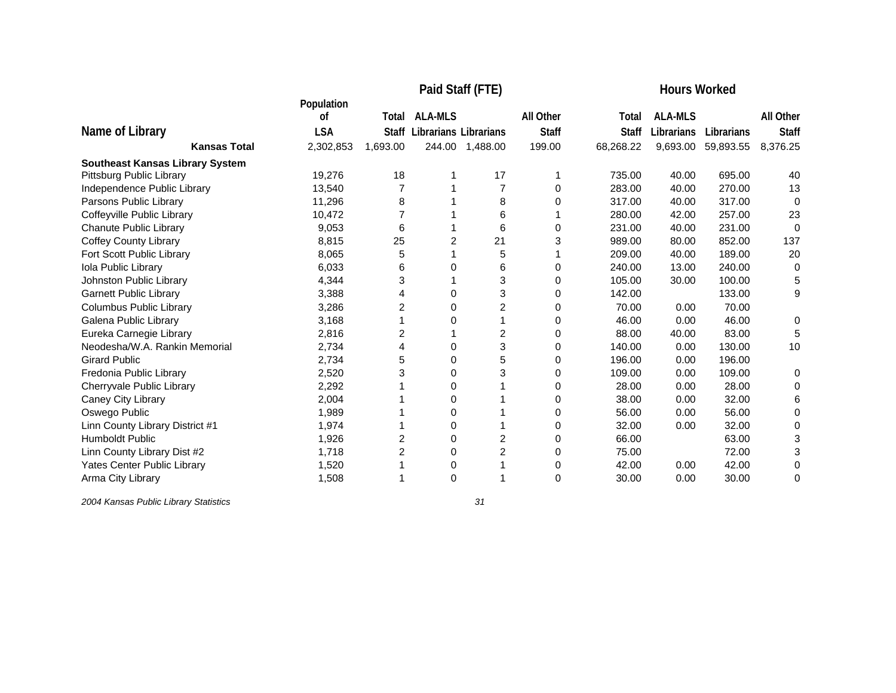|                                        | Paid Staff (FTE) |              |                              |                |              | <b>Hours Worked</b> |                |            |                  |
|----------------------------------------|------------------|--------------|------------------------------|----------------|--------------|---------------------|----------------|------------|------------------|
|                                        | Population       |              |                              |                |              |                     |                |            |                  |
|                                        | οf               | Total        | <b>ALA-MLS</b>               |                | All Other    | Total               | <b>ALA-MLS</b> |            | <b>All Other</b> |
| Name of Library                        | <b>LSA</b>       | <b>Staff</b> | <b>Librarians Librarians</b> |                | <b>Staff</b> | <b>Staff</b>        | Librarians     | Librarians | <b>Staff</b>     |
| <b>Kansas Total</b>                    | 2,302,853        | 1,693.00     | 244.00                       | 1,488.00       | 199.00       | 68,268.22           | 9,693.00       | 59,893.55  | 8,376.25         |
| <b>Southeast Kansas Library System</b> |                  |              |                              |                |              |                     |                |            |                  |
| Pittsburg Public Library               | 19,276           | 18           |                              | 17             |              | 735.00              | 40.00          | 695.00     | 40               |
| Independence Public Library            | 13,540           |              |                              | $\overline{7}$ | 0            | 283.00              | 40.00          | 270.00     | 13               |
| Parsons Public Library                 | 11,296           | 8            |                              | 8              | 0            | 317.00              | 40.00          | 317.00     | $\mathbf 0$      |
| Coffeyville Public Library             | 10,472           |              |                              | 6              |              | 280.00              | 42.00          | 257.00     | 23               |
| <b>Chanute Public Library</b>          | 9,053            | 6            |                              | 6              | 0            | 231.00              | 40.00          | 231.00     | $\Omega$         |
| <b>Coffey County Library</b>           | 8,815            | 25           | $\overline{c}$               | 21             | 3            | 989.00              | 80.00          | 852.00     | 137              |
| Fort Scott Public Library              | 8,065            | 5            |                              | 5              |              | 209.00              | 40.00          | 189.00     | 20               |
| Iola Public Library                    | 6,033            | 6            | 0                            | 6              | 0            | 240.00              | 13.00          | 240.00     | 0                |
| Johnston Public Library                | 4,344            | 3            |                              | 3              | 0            | 105.00              | 30.00          | 100.00     | 5                |
| <b>Garnett Public Library</b>          | 3,388            | 4            | 0                            | 3              | 0            | 142.00              |                | 133.00     | 9                |
| <b>Columbus Public Library</b>         | 3,286            | 2            | 0                            | $\overline{2}$ | 0            | 70.00               | 0.00           | 70.00      |                  |
| Galena Public Library                  | 3,168            |              | 0                            |                | 0            | 46.00               | 0.00           | 46.00      | 0                |
| Eureka Carnegie Library                | 2,816            | 2            |                              | $\overline{c}$ | 0            | 88.00               | 40.00          | 83.00      | 5                |
| Neodesha/W.A. Rankin Memorial          | 2,734            | 4            | 0                            | 3              | 0            | 140.00              | 0.00           | 130.00     | 10               |
| <b>Girard Public</b>                   | 2,734            | 5            | 0                            | 5              | 0            | 196.00              | 0.00           | 196.00     |                  |
| Fredonia Public Library                | 2,520            | 3            | 0                            | 3              | 0            | 109.00              | 0.00           | 109.00     | 0                |
| Cherryvale Public Library              | 2,292            |              | 0                            |                | 0            | 28.00               | 0.00           | 28.00      | 0                |
| Caney City Library                     | 2,004            |              | 0                            |                | 0            | 38.00               | 0.00           | 32.00      | 6                |
| Oswego Public                          | 1,989            |              | $\Omega$                     |                | 0            | 56.00               | 0.00           | 56.00      | $\Omega$         |
| Linn County Library District #1        | 1,974            |              | 0                            |                | 0            | 32.00               | 0.00           | 32.00      | 0                |
| Humboldt Public                        | 1,926            | 2            | 0                            | 2              | 0            | 66.00               |                | 63.00      | 3                |
| Linn County Library Dist #2            | 1,718            | 2            | 0                            | 2              | 0            | 75.00               |                | 72.00      | 3                |
| Yates Center Public Library            | 1,520            |              | 0                            |                | 0            | 42.00               | 0.00           | 42.00      | 0                |
| Arma City Library                      | 1,508            |              | 0                            |                | $\Omega$     | 30.00               | 0.00           | 30.00      | 0                |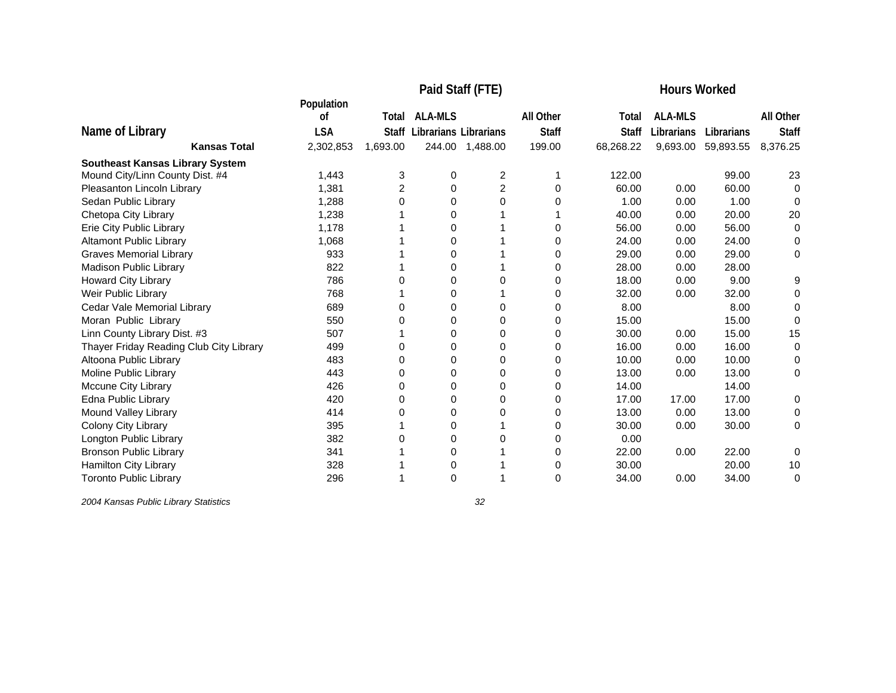|                                         | Paid Staff (FTE) |                |                       |                |              | <b>Hours Worked</b> |                |            |                  |
|-----------------------------------------|------------------|----------------|-----------------------|----------------|--------------|---------------------|----------------|------------|------------------|
|                                         | Population<br>οf | Total          | <b>ALA-MLS</b>        |                | All Other    | Total               | <b>ALA-MLS</b> |            | <b>All Other</b> |
| Name of Library                         |                  |                |                       |                | <b>Staff</b> |                     |                |            | <b>Staff</b>     |
|                                         | <b>LSA</b>       | Staff          | Librarians Librarians |                |              | <b>Staff</b>        | Librarians     | Librarians |                  |
| <b>Kansas Total</b>                     | 2,302,853        | 1,693.00       | 244.00                | 1,488.00       | 199.00       | 68,268.22           | 9,693.00       | 59,893.55  | 8,376.25         |
| <b>Southeast Kansas Library System</b>  |                  |                |                       |                |              |                     |                |            |                  |
| Mound City/Linn County Dist. #4         | 1,443            | 3              | 0                     | 2              |              | 122.00              |                | 99.00      | 23               |
| Pleasanton Lincoln Library              | 1,381            | $\overline{2}$ | 0                     | $\overline{c}$ | 0            | 60.00               | 0.00           | 60.00      | 0                |
| Sedan Public Library                    | 1,288            | 0              | 0                     | 0              | 0            | 1.00                | 0.00           | 1.00       | 0                |
| Chetopa City Library                    | 1,238            |                | 0                     |                |              | 40.00               | 0.00           | 20.00      | 20               |
| Erie City Public Library                | 1.178            |                | 0                     |                | 0            | 56.00               | 0.00           | 56.00      | 0                |
| <b>Altamont Public Library</b>          | 1,068            |                | 0                     |                | 0            | 24.00               | 0.00           | 24.00      | 0                |
| <b>Graves Memorial Library</b>          | 933              |                | 0                     |                | 0            | 29.00               | 0.00           | 29.00      | 0                |
| <b>Madison Public Library</b>           | 822              |                | 0                     |                | 0            | 28.00               | 0.00           | 28.00      |                  |
| Howard City Library                     | 786              | Ω              | 0                     | 0              | 0            | 18.00               | 0.00           | 9.00       | 9                |
| Weir Public Library                     | 768              |                | 0                     |                | 0            | 32.00               | 0.00           | 32.00      | 0                |
| Cedar Vale Memorial Library             | 689              | Ω              | 0                     | 0              | 0            | 8.00                |                | 8.00       | 0                |
| Moran Public Library                    | 550              | 0              | $\Omega$              | $\Omega$       | 0            | 15.00               |                | 15.00      | 0                |
| Linn County Library Dist. #3            | 507              |                | 0                     | 0              | 0            | 30.00               | 0.00           | 15.00      | 15               |
| Thayer Friday Reading Club City Library | 499              | 0              | 0                     | $\Omega$       | 0            | 16.00               | 0.00           | 16.00      | 0                |
| Altoona Public Library                  | 483              | $\Omega$       | 0                     | $\Omega$       | 0            | 10.00               | 0.00           | 10.00      | 0                |
| Moline Public Library                   | 443              | 0              | $\Omega$              | $\Omega$       | 0            | 13.00               | 0.00           | 13.00      | 0                |
| <b>Mccune City Library</b>              | 426              | 0              | 0                     | 0              | 0            | 14.00               |                | 14.00      |                  |
| Edna Public Library                     | 420              | 0              | 0                     | 0              | 0            | 17.00               | 17.00          | 17.00      | 0                |
| Mound Valley Library                    | 414              | 0              | 0                     | 0              | 0            | 13.00               | 0.00           | 13.00      | 0                |
| Colony City Library                     | 395              |                | 0                     |                | 0            | 30.00               | 0.00           | 30.00      | 0                |
| Longton Public Library                  | 382              | 0              | $\Omega$              | 0              | 0            | 0.00                |                |            |                  |
| <b>Bronson Public Library</b>           | 341              |                | 0                     |                | 0            | 22.00               | 0.00           | 22.00      | 0                |
| Hamilton City Library                   | 328              |                | 0                     |                | 0            | 30.00               |                | 20.00      | 10               |
| <b>Toronto Public Library</b>           | 296              |                | 0                     |                | 0            | 34.00               | 0.00           | 34.00      | 0                |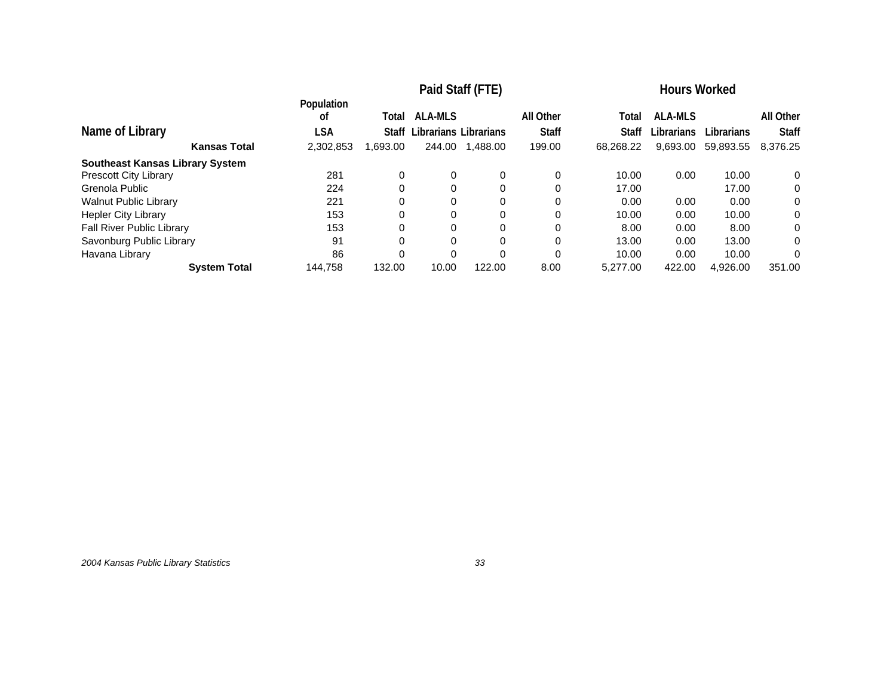|                                        | Paid Staff (FTE) |          |                       |          | <b>Hours Worked</b> |              |                |            |              |
|----------------------------------------|------------------|----------|-----------------------|----------|---------------------|--------------|----------------|------------|--------------|
|                                        | Population<br>οf | Total    | <b>ALA-MLS</b>        |          | All Other           | Total        | <b>ALA-MLS</b> |            | All Other    |
| Name of Library                        | LSA              | Staff    | Librarians Librarians |          | <b>Staff</b>        | <b>Staff</b> | Librarians     | Librarians | <b>Staff</b> |
| <b>Kansas Total</b>                    | 2,302,853        | 1,693.00 | 244.00                | 1,488.00 | 199.00              | 68,268.22    | 9,693.00       | 59,893.55  | 8,376.25     |
| <b>Southeast Kansas Library System</b> |                  |          |                       |          |                     |              |                |            |              |
| <b>Prescott City Library</b>           | 281              | 0        | 0                     | 0        | 0                   | 10.00        | 0.00           | 10.00      | 0            |
| Grenola Public                         | 224              | 0        | 0                     | $\Omega$ | 0                   | 17.00        |                | 17.00      | 0            |
| <b>Walnut Public Library</b>           | 221              | 0        | 0                     | $\Omega$ | 0                   | 0.00         | 0.00           | 0.00       | 0            |
| <b>Hepler City Library</b>             | 153              |          | 0                     | 0        |                     | 10.00        | 0.00           | 10.00      | 0            |
| <b>Fall River Public Library</b>       | 153              |          | $\Omega$              | $\Omega$ | 0                   | 8.00         | 0.00           | 8.00       | 0            |
| Savonburg Public Library               | 91               | 0        | 0                     | 0        |                     | 13.00        | 0.00           | 13.00      | 0            |
| Havana Library                         | 86               |          | $\Omega$              | $\Omega$ | $\Omega$            | 10.00        | 0.00           | 10.00      | 0            |
| <b>System Total</b>                    | 144.758          | 132.00   | 10.00                 | 122.00   | 8.00                | 5,277.00     | 422.00         | 4,926.00   | 351.00       |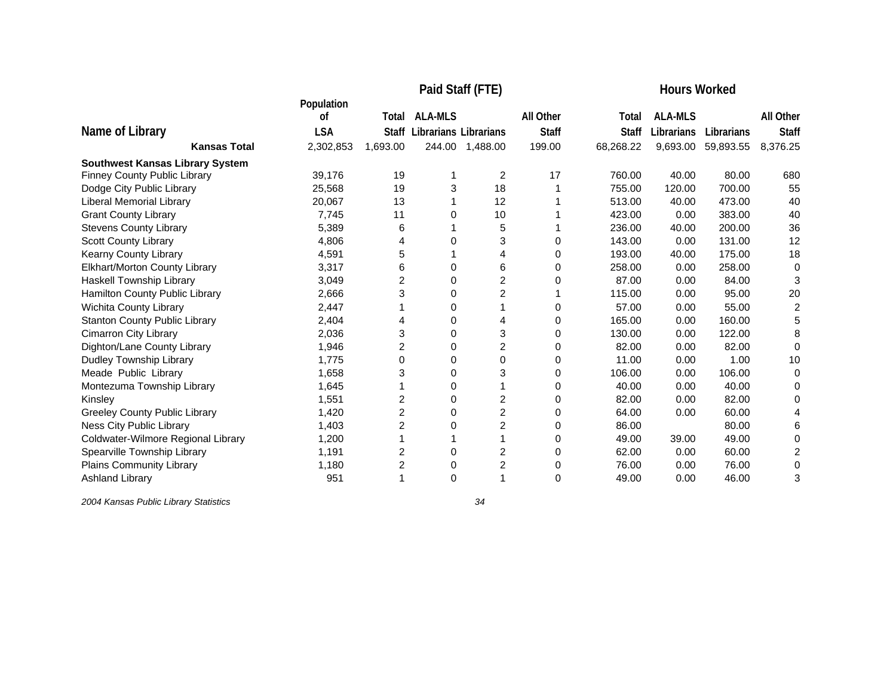|                                        |                  |              |                              | Paid Staff (FTE) | <b>Hours Worked</b> |              |                |            |                  |
|----------------------------------------|------------------|--------------|------------------------------|------------------|---------------------|--------------|----------------|------------|------------------|
|                                        | Population<br>οf | Total        | <b>ALA-MLS</b>               |                  | All Other           | Total        | <b>ALA-MLS</b> |            | <b>All Other</b> |
| Name of Library                        | <b>LSA</b>       | <b>Staff</b> | <b>Librarians Librarians</b> |                  | <b>Staff</b>        | <b>Staff</b> | Librarians     | Librarians | <b>Staff</b>     |
| <b>Kansas Total</b>                    | 2,302,853        | 1,693.00     |                              | 244.00 1,488.00  | 199.00              | 68,268.22    | 9,693.00       | 59,893.55  | 8,376.25         |
| <b>Southwest Kansas Library System</b> |                  |              |                              |                  |                     |              |                |            |                  |
| <b>Finney County Public Library</b>    | 39,176           | 19           |                              | 2                | 17                  | 760.00       | 40.00          | 80.00      | 680              |
| Dodge City Public Library              | 25,568           | 19           | 3                            | 18               |                     | 755.00       | 120.00         | 700.00     | 55               |
| Liberal Memorial Library               | 20,067           | 13           |                              | 12               |                     | 513.00       | 40.00          | 473.00     | 40               |
| <b>Grant County Library</b>            | 7,745            | 11           | 0                            | 10               |                     | 423.00       | 0.00           | 383.00     | 40               |
| <b>Stevens County Library</b>          | 5,389            | 6            |                              | 5                |                     | 236.00       | 40.00          | 200.00     | 36               |
| Scott County Library                   | 4.806            | 4            | 0                            | 3                | 0                   | 143.00       | 0.00           | 131.00     | 12               |
| Kearny County Library                  | 4,591            | 5            |                              | 4                | 0                   | 193.00       | 40.00          | 175.00     | 18               |
| Elkhart/Morton County Library          | 3,317            | 6            | 0                            | 6                | 0                   | 258.00       | 0.00           | 258.00     | 0                |
| Haskell Township Library               | 3,049            | 2            | 0                            | $\overline{2}$   | 0                   | 87.00        | 0.00           | 84.00      | 3                |
| Hamilton County Public Library         | 2,666            | 3            | 0                            | 2                |                     | 115.00       | 0.00           | 95.00      | 20               |
| Wichita County Library                 | 2,447            |              | 0                            |                  | 0                   | 57.00        | 0.00           | 55.00      | 2                |
| <b>Stanton County Public Library</b>   | 2,404            | 4            | 0                            |                  | 0                   | 165.00       | 0.00           | 160.00     | 5                |
| <b>Cimarron City Library</b>           | 2,036            | 3            | 0                            | 3                | 0                   | 130.00       | 0.00           | 122.00     | 8                |
| Dighton/Lane County Library            | 1,946            | 2            | 0                            | 2                | 0                   | 82.00        | 0.00           | 82.00      | $\Omega$         |
| Dudley Township Library                | 1,775            | 0            | 0                            | $\Omega$         | 0                   | 11.00        | 0.00           | 1.00       | 10               |
| Meade Public Library                   | 1,658            | 3            | 0                            | 3                | 0                   | 106.00       | 0.00           | 106.00     | 0                |
| Montezuma Township Library             | 1,645            |              | 0                            |                  | 0                   | 40.00        | 0.00           | 40.00      | 0                |
| Kinsley                                | 1,551            | 2            | 0                            | 2                | 0                   | 82.00        | 0.00           | 82.00      | 0                |
| <b>Greeley County Public Library</b>   | 1,420            | 2            | 0                            | $\overline{2}$   | 0                   | 64.00        | 0.00           | 60.00      | Δ                |
| Ness City Public Library               | 1,403            | 2            | 0                            | $\overline{2}$   | 0                   | 86.00        |                | 80.00      | 6                |
| Coldwater-Wilmore Regional Library     | 1,200            |              |                              |                  | 0                   | 49.00        | 39.00          | 49.00      | 0                |
| Spearville Township Library            | 1,191            | 2            | 0                            | $\overline{2}$   | 0                   | 62.00        | 0.00           | 60.00      | 2                |
| Plains Community Library               | 1,180            | 2            | 0                            | 2                | 0                   | 76.00        | 0.00           | 76.00      | 0                |
| <b>Ashland Library</b>                 | 951              |              | 0                            |                  | $\Omega$            | 49.00        | 0.00           | 46.00      | 3                |